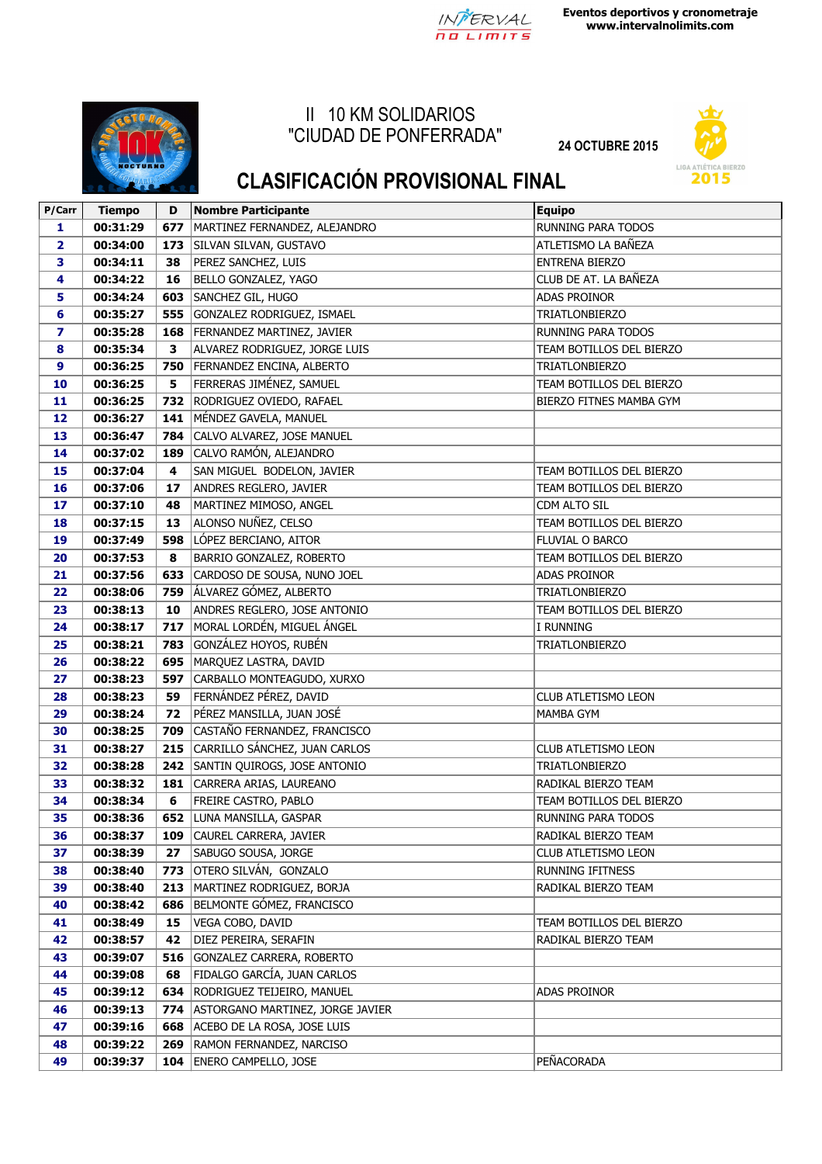

**Eventos deportivos y cronometraje www.intervalnolimits.com**



## II 10 KM SOLIDARIOS "CIUDAD DE PONFERRADA"

**24 OCTUBRE 2015**



## **CLASIFICACIÓN PROVISIONAL FINAL**

| P/Carr         | <b>Tiempo</b> | D   | <b>Nombre Participante</b>             | <b>Equipo</b>             |
|----------------|---------------|-----|----------------------------------------|---------------------------|
| 1              | 00:31:29      | 677 | MARTINEZ FERNANDEZ, ALEJANDRO          | RUNNING PARA TODOS        |
| $\overline{2}$ | 00:34:00      |     | 173 SILVAN SILVAN, GUSTAVO             | ATLETISMO LA BAÑEZA       |
| 3              | 00:34:11      | 38  | PEREZ SANCHEZ, LUIS                    | <b>ENTRENA BIERZO</b>     |
| 4              | 00:34:22      | 16  | BELLO GONZALEZ, YAGO                   | CLUB DE AT. LA BAÑEZA     |
| 5              | 00:34:24      |     | 603 SANCHEZ GIL, HUGO                  | <b>ADAS PROINOR</b>       |
| 6              | 00:35:27      |     | 555 GONZALEZ RODRIGUEZ, ISMAEL         | <b>TRIATLONBIERZO</b>     |
| 7              | 00:35:28      | 168 | FERNANDEZ MARTINEZ, JAVIER             | RUNNING PARA TODOS        |
| 8              | 00:35:34      | 3   | ALVAREZ RODRIGUEZ, JORGE LUIS          | TEAM BOTILLOS DEL BIERZO  |
| 9              | 00:36:25      | 750 | FERNANDEZ ENCINA, ALBERTO              | <b>TRIATLONBIERZO</b>     |
| 10             | 00:36:25      | 5   | FERRERAS JIMÉNEZ, SAMUEL               | TEAM BOTILLOS DEL BIERZO  |
| 11             | 00:36:25      | 732 | RODRIGUEZ OVIEDO, RAFAEL               | BIERZO FITNES MAMBA GYM   |
| 12             | 00:36:27      | 141 | MÉNDEZ GAVELA, MANUEL                  |                           |
| 13             | 00:36:47      | 784 | CALVO ALVAREZ, JOSE MANUEL             |                           |
| 14             | 00:37:02      | 189 | CALVO RAMÓN, ALEJANDRO                 |                           |
| 15             | 00:37:04      | 4   | SAN MIGUEL BODELON, JAVIER             | TEAM BOTILLOS DEL BIERZO  |
| 16             | 00:37:06      | 17  | ANDRES REGLERO, JAVIER                 | TEAM BOTILLOS DEL BIERZO  |
| 17             | 00:37:10      | 48  | MARTINEZ MIMOSO, ANGEL                 | CDM ALTO SIL              |
| 18             | 00:37:15      | 13  | ALONSO NUÑEZ, CELSO                    | TEAM BOTILLOS DEL BIERZO  |
| 19             | 00:37:49      | 598 | LÓPEZ BERCIANO, AITOR                  | FLUVIAL O BARCO           |
| 20             | 00:37:53      | 8   | BARRIO GONZALEZ, ROBERTO               | TEAM BOTILLOS DEL BIERZO  |
| 21             | 00:37:56      | 633 | CARDOSO DE SOUSA, NUNO JOEL            | <b>ADAS PROINOR</b>       |
| 22             | 00:38:06      | 759 | ÁLVAREZ GÓMEZ, ALBERTO                 | <b>TRIATLONBIERZO</b>     |
| 23             | 00:38:13      | 10  | ANDRES REGLERO, JOSE ANTONIO           | TEAM BOTILLOS DEL BIERZO  |
| 24             | 00:38:17      |     | 717   MORAL LORDÉN, MIGUEL ÁNGEL       | I RUNNING                 |
| 25             | 00:38:21      |     | 783 GONZÁLEZ HOYOS, RUBÉN              | <b>TRIATLONBIERZO</b>     |
| 26             | 00:38:22      |     | 695   MARQUEZ LASTRA, DAVID            |                           |
| 27             | 00:38:23      | 597 | CARBALLO MONTEAGUDO, XURXO             |                           |
| 28             | 00:38:23      | 59  | FERNÁNDEZ PÉREZ, DAVID                 | CLUB ATLETISMO LEON       |
| 29             | 00:38:24      | 72  | PÉREZ MANSILLA, JUAN JOSÉ              | <b>MAMBA GYM</b>          |
| 30             | 00:38:25      | 709 | CASTAÑO FERNANDEZ, FRANCISCO           |                           |
| 31             | 00:38:27      | 215 | CARRILLO SÁNCHEZ, JUAN CARLOS          | CLUB ATLETISMO LEON       |
| 32             | 00:38:28      | 242 | SANTIN QUIROGS, JOSE ANTONIO           | <b>TRIATLONBIERZO</b>     |
| 33             | 00:38:32      | 181 | CARRERA ARIAS, LAUREANO                | RADIKAL BIERZO TEAM       |
| 34             | 00:38:34      | 6   | FREIRE CASTRO, PABLO                   | TEAM BOTILLOS DEL BIERZO  |
| 35             | 00:38:36      |     | 652 LUNA MANSILLA, GASPAR              | <b>RUNNING PARA TODOS</b> |
| 36             | 00:38:37      | 109 | CAUREL CARRERA, JAVIER                 | RADIKAL BIERZO TEAM       |
| 37             | 00:38:39      | 27  | SABUGO SOUSA, JORGE                    | CLUB ATLETISMO LEON       |
| 38             | 00:38:40      | 773 | OTERO SILVÁN, GONZALO                  | RUNNING IFITNESS          |
| 39             | 00:38:40      | 213 | MARTINEZ RODRIGUEZ, BORJA              | RADIKAL BIERZO TEAM       |
| 40             | 00:38:42      | 686 | BELMONTE GÓMEZ, FRANCISCO              |                           |
| 41             | 00:38:49      | 15  | VEGA COBO, DAVID                       | TEAM BOTILLOS DEL BIERZO  |
| 42             | 00:38:57      | 42  | DIEZ PEREIRA, SERAFIN                  | RADIKAL BIERZO TEAM       |
| 43             | 00:39:07      | 516 | GONZALEZ CARRERA, ROBERTO              |                           |
| 44             | 00:39:08      | 68  | FIDALGO GARCÍA, JUAN CARLOS            |                           |
| 45             | 00:39:12      |     | 634 RODRIGUEZ TEIJEIRO, MANUEL         | <b>ADAS PROINOR</b>       |
| 46             | 00:39:13      |     | 774   ASTORGANO MARTINEZ, JORGE JAVIER |                           |
| 47             | 00:39:16      | 668 | ACEBO DE LA ROSA, JOSE LUIS            |                           |
| 48             | 00:39:22      | 269 | RAMON FERNANDEZ, NARCISO               |                           |
| 49             | 00:39:37      | 104 | <b>ENERO CAMPELLO, JOSE</b>            | PEÑACORADA                |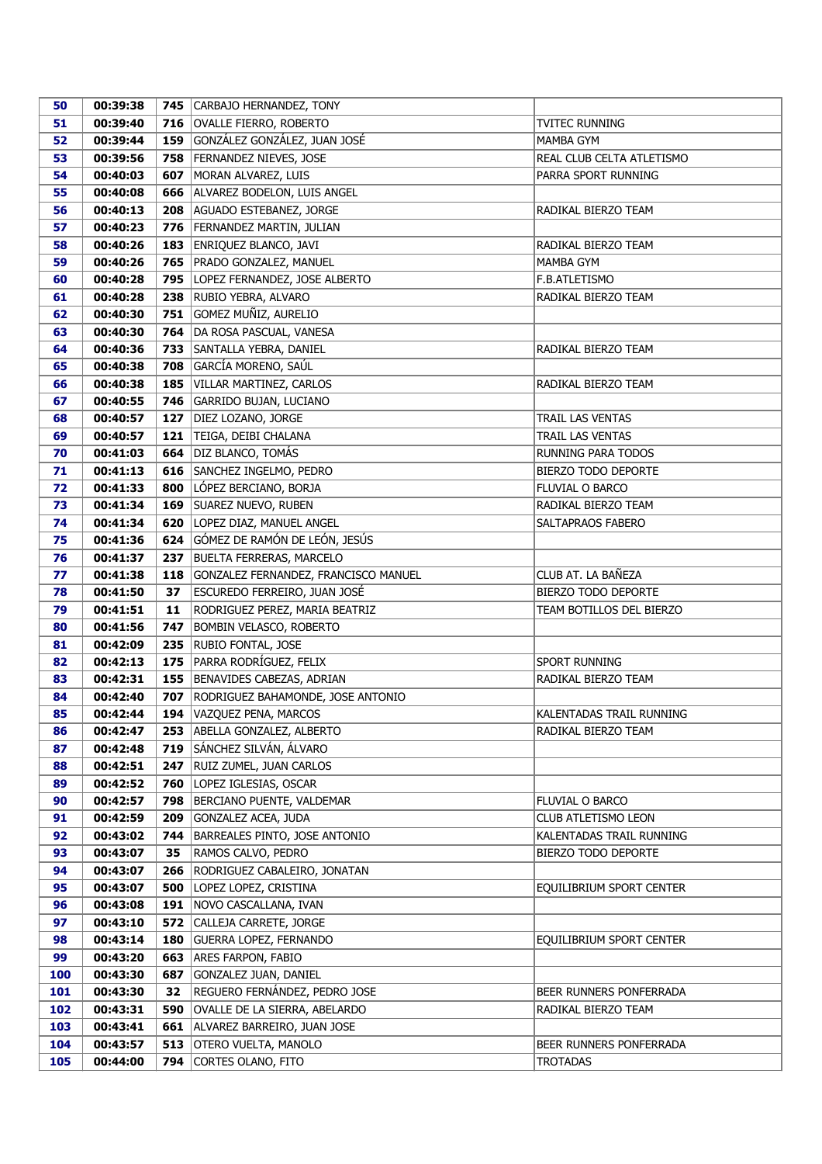| 50       | 00:39:38             |            | 745 CARBAJO HERNANDEZ, TONY                      |                           |
|----------|----------------------|------------|--------------------------------------------------|---------------------------|
| 51       | 00:39:40             |            | 716   OVALLE FIERRO, ROBERTO                     | <b>TVITEC RUNNING</b>     |
| 52       | 00:39:44             |            | 159 GONZÁLEZ GONZÁLEZ, JUAN JOSÉ                 | MAMBA GYM                 |
| 53       | 00:39:56             |            | 758   FERNANDEZ NIEVES, JOSE                     | REAL CLUB CELTA ATLETISMO |
| 54       | 00:40:03             |            | 607   MORAN ALVAREZ, LUIS                        | PARRA SPORT RUNNING       |
| 55       | 00:40:08             |            | 666 ALVAREZ BODELON, LUIS ANGEL                  |                           |
| 56       | 00:40:13             |            | 208   AGUADO ESTEBANEZ, JORGE                    | RADIKAL BIERZO TEAM       |
| 57       | 00:40:23             |            | 776   FERNANDEZ MARTIN, JULIAN                   |                           |
| 58       | 00:40:26             |            | 183 ENRIQUEZ BLANCO, JAVI                        | RADIKAL BIERZO TEAM       |
| 59       | 00:40:26             |            | 765   PRADO GONZALEZ, MANUEL                     | MAMBA GYM                 |
| 60       | 00:40:28             |            | 795   LOPEZ FERNANDEZ, JOSE ALBERTO              | F.B.ATLETISMO             |
| 61       | 00:40:28             |            | 238 RUBIO YEBRA, ALVARO                          | RADIKAL BIERZO TEAM       |
| 62       | 00:40:30             |            | 751 GOMEZ MUÑIZ, AURELIO                         |                           |
| 63       | 00:40:30             |            | 764   DA ROSA PASCUAL, VANESA                    |                           |
| 64       | 00:40:36             |            | 733 SANTALLA YEBRA, DANIEL                       | RADIKAL BIERZO TEAM       |
| 65       | 00:40:38             |            | 708 GARCÍA MORENO, SAÚL                          |                           |
| 66       | 00:40:38             | 185        | VILLAR MARTINEZ, CARLOS                          | RADIKAL BIERZO TEAM       |
| 67       | 00:40:55             |            | 746 GARRIDO BUJAN, LUCIANO                       |                           |
| 68       | 00:40:57             | 127        | DIEZ LOZANO, JORGE                               | <b>TRAIL LAS VENTAS</b>   |
| 69       | 00:40:57             |            | 121   TEIGA, DEIBI CHALANA                       | TRAIL LAS VENTAS          |
| 70       | 00:41:03             |            | 664 DIZ BLANCO, TOMÁS                            | RUNNING PARA TODOS        |
| 71       | 00:41:13             |            | 616 SANCHEZ INGELMO, PEDRO                       | BIERZO TODO DEPORTE       |
| 72       | 00:41:33             |            | 800 LÓPEZ BERCIANO, BORJA                        | FLUVIAL O BARCO           |
| 73       | 00:41:34             |            | 169 SUAREZ NUEVO, RUBEN                          | RADIKAL BIERZO TEAM       |
| 74       | 00:41:34             |            | 620   LOPEZ DIAZ, MANUEL ANGEL                   | SALTAPRAOS FABERO         |
| 75       | 00:41:36             |            | 624 GÓMEZ DE RAMÓN DE LEÓN, JESÚS                |                           |
| 76       | 00:41:37             |            | 237 BUELTA FERRERAS, MARCELO                     |                           |
| 77       | 00:41:38             |            | 118 GONZALEZ FERNANDEZ, FRANCISCO MANUEL         | CLUB AT. LA BAÑEZA        |
| 78       | 00:41:50             | 37         | ESCUREDO FERREIRO, JUAN JOSÉ                     | BIERZO TODO DEPORTE       |
| 79       | 00:41:51             | 11         | RODRIGUEZ PEREZ, MARIA BEATRIZ                   | TEAM BOTILLOS DEL BIERZO  |
| 80       | 00:41:56             | 747        | BOMBIN VELASCO, ROBERTO                          |                           |
| 81       | 00:42:09             |            | 235 RUBIO FONTAL, JOSE                           |                           |
| 82       | 00:42:13             |            | 175 PARRA RODRÍGUEZ, FELIX                       | SPORT RUNNING             |
| 83       | 00:42:31             |            | 155 BENAVIDES CABEZAS, ADRIAN                    | RADIKAL BIERZO TEAM       |
| 84       | 00:42:40             |            | 707   RODRIGUEZ BAHAMONDE, JOSE ANTONIO          |                           |
| 85       | 00:42:44             |            | 194   VAZQUEZ PENA, MARCOS                       | KALENTADAS TRAIL RUNNING  |
| 86       | 00:42:47             |            | 253 ABELLA GONZALEZ, ALBERTO                     | RADIKAL BIERZO TEAM       |
| 87       | 00:42:48             |            | 719 SÁNCHEZ SILVÁN, ÁLVARO                       |                           |
| 88<br>89 | 00:42:51<br>00:42:52 | 247<br>760 | RUIZ ZUMEL, JUAN CARLOS<br>LOPEZ IGLESIAS, OSCAR |                           |
| 90       | 00:42:57             | 798        | BERCIANO PUENTE, VALDEMAR                        | FLUVIAL O BARCO           |
| 91       | 00:42:59             | 209        | GONZALEZ ACEA, JUDA                              | CLUB ATLETISMO LEON       |
| 92       | 00:43:02             | 744        | BARREALES PINTO, JOSE ANTONIO                    | KALENTADAS TRAIL RUNNING  |
| 93       | 00:43:07             | 35         | RAMOS CALVO, PEDRO                               | BIERZO TODO DEPORTE       |
| 94       | 00:43:07             |            | 266   RODRIGUEZ CABALEIRO, JONATAN               |                           |
| 95       | 00:43:07             |            | <b>500</b> LOPEZ LOPEZ, CRISTINA                 | EQUILIBRIUM SPORT CENTER  |
| 96       | 00:43:08             |            | 191   NOVO CASCALLANA, IVAN                      |                           |
| 97       | 00:43:10             |            | 572 CALLEJA CARRETE, JORGE                       |                           |
| 98       | 00:43:14             | 180        | <b>GUERRA LOPEZ, FERNANDO</b>                    | EQUILIBRIUM SPORT CENTER  |
| 99       | 00:43:20             | 663        | ARES FARPON, FABIO                               |                           |
| 100      | 00:43:30             | 687        | GONZALEZ JUAN, DANIEL                            |                           |
| 101      | 00:43:30             | 32         | REGUERO FERNÁNDEZ, PEDRO JOSE                    | BEER RUNNERS PONFERRADA   |
| 102      | 00:43:31             | 590        | OVALLE DE LA SIERRA, ABELARDO                    | RADIKAL BIERZO TEAM       |
| 103      | 00:43:41             |            | 661   ALVAREZ BARREIRO, JUAN JOSE                |                           |
| 104      | 00:43:57             |            | 513 OTERO VUELTA, MANOLO                         | BEER RUNNERS PONFERRADA   |
| 105      | 00:44:00             |            | 794   CORTES OLANO, FITO                         | <b>TROTADAS</b>           |
|          |                      |            |                                                  |                           |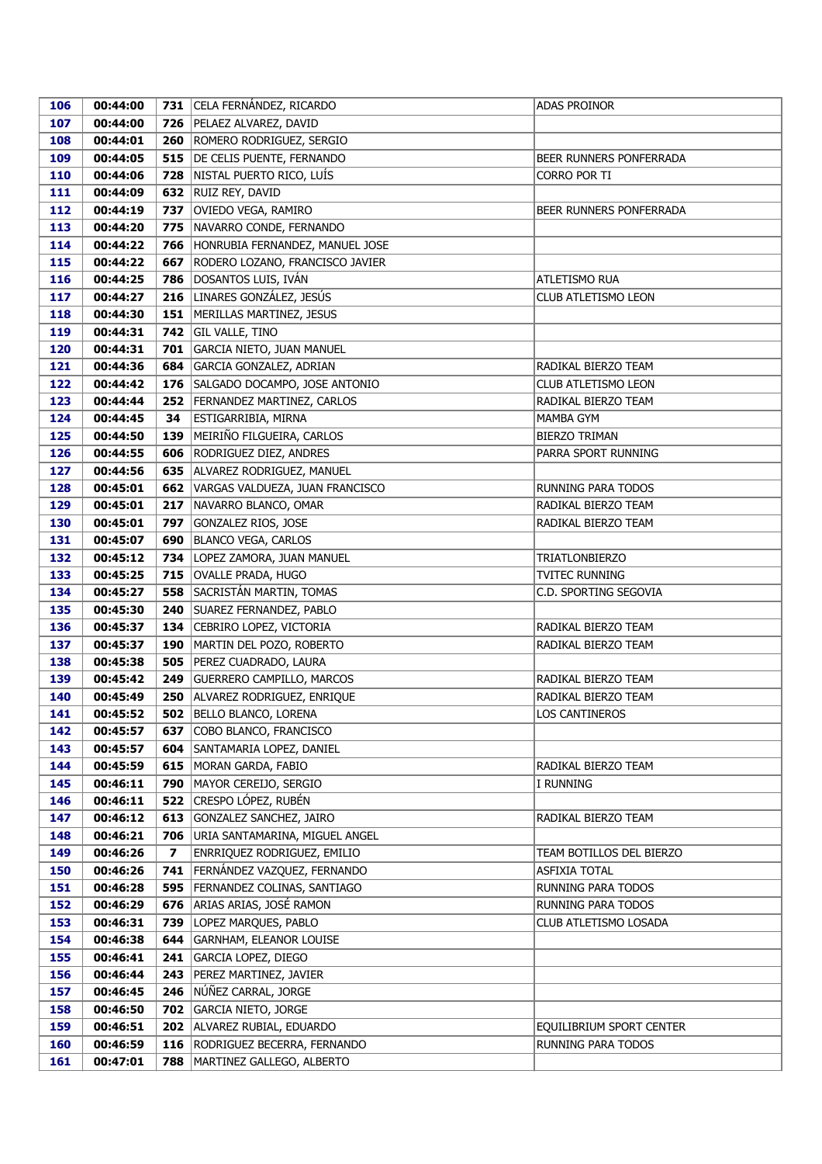| 106 | 00:44:00 |     | 731 CELA FERNÁNDEZ, RICARDO           | ADAS PROINOR             |
|-----|----------|-----|---------------------------------------|--------------------------|
| 107 | 00:44:00 |     | 726   PELAEZ ALVAREZ, DAVID           |                          |
| 108 | 00:44:01 |     | 260 ROMERO RODRIGUEZ, SERGIO          |                          |
| 109 | 00:44:05 |     | 515   DE CELIS PUENTE, FERNANDO       | BEER RUNNERS PONFERRADA  |
| 110 | 00:44:06 |     | 728 NISTAL PUERTO RICO, LUÍS          | CORRO POR TI             |
| 111 | 00:44:09 |     | 632 RUIZ REY, DAVID                   |                          |
| 112 | 00:44:19 |     | 737   OVIEDO VEGA, RAMIRO             | BEER RUNNERS PONFERRADA  |
| 113 | 00:44:20 |     | 775 NAVARRO CONDE, FERNANDO           |                          |
| 114 | 00:44:22 |     | 766 HONRUBIA FERNANDEZ, MANUEL JOSE   |                          |
| 115 | 00:44:22 |     | 667 RODERO LOZANO, FRANCISCO JAVIER   |                          |
| 116 | 00:44:25 |     | 786   DOSANTOS LUIS, IVÁN             | ATLETISMO RUA            |
| 117 | 00:44:27 |     | 216 LINARES GONZÁLEZ, JESÚS           | CLUB ATLETISMO LEON      |
| 118 | 00:44:30 |     | 151   MERILLAS MARTINEZ, JESUS        |                          |
| 119 | 00:44:31 |     | 742   GIL VALLE, TINO                 |                          |
| 120 | 00:44:31 | 701 | GARCIA NIETO, JUAN MANUEL             |                          |
| 121 | 00:44:36 | 684 | GARCIA GONZALEZ, ADRIAN               | RADIKAL BIERZO TEAM      |
| 122 | 00:44:42 |     | 176   SALGADO DOCAMPO, JOSE ANTONIO   | CLUB ATLETISMO LEON      |
| 123 | 00:44:44 | 252 | FERNANDEZ MARTINEZ, CARLOS            | RADIKAL BIERZO TEAM      |
| 124 | 00:44:45 | 34  | ESTIGARRIBIA, MIRNA                   | MAMBA GYM                |
| 125 | 00:44:50 | 139 | MEIRIÑO FILGUEIRA, CARLOS             | BIERZO TRIMAN            |
| 126 | 00:44:55 |     | 606 RODRIGUEZ DIEZ, ANDRES            | PARRA SPORT RUNNING      |
| 127 | 00:44:56 |     | 635 ALVAREZ RODRIGUEZ, MANUEL         |                          |
| 128 | 00:45:01 |     | 662   VARGAS VALDUEZA, JUAN FRANCISCO | RUNNING PARA TODOS       |
| 129 | 00:45:01 |     | 217 NAVARRO BLANCO, OMAR              | RADIKAL BIERZO TEAM      |
| 130 | 00:45:01 | 797 | GONZALEZ RIOS, JOSE                   | RADIKAL BIERZO TEAM      |
| 131 | 00:45:07 | 690 | <b>BLANCO VEGA, CARLOS</b>            |                          |
| 132 | 00:45:12 |     | 734   LOPEZ ZAMORA, JUAN MANUEL       | <b>TRIATLONBIERZO</b>    |
| 133 | 00:45:25 |     | 715   OVALLE PRADA, HUGO              | <b>TVITEC RUNNING</b>    |
| 134 | 00:45:27 | 558 | SACRISTÁN MARTIN, TOMAS               | C.D. SPORTING SEGOVIA    |
| 135 | 00:45:30 | 240 | SUAREZ FERNANDEZ, PABLO               |                          |
| 136 | 00:45:37 |     | 134 CEBRIRO LOPEZ, VICTORIA           | RADIKAL BIERZO TEAM      |
| 137 | 00:45:37 |     | 190   MARTIN DEL POZO, ROBERTO        | RADIKAL BIERZO TEAM      |
| 138 | 00:45:38 |     | 505   PEREZ CUADRADO, LAURA           |                          |
| 139 | 00:45:42 | 249 | <b>GUERRERO CAMPILLO, MARCOS</b>      | RADIKAL BIERZO TEAM      |
| 140 | 00:45:49 | 250 | ALVAREZ RODRIGUEZ, ENRIQUE            | RADIKAL BIERZO TEAM      |
| 141 | 00:45:52 |     | 502 BELLO BLANCO, LORENA              | LOS CANTINEROS           |
| 142 | 00:45:57 | 637 | COBO BLANCO, FRANCISCO                |                          |
| 143 | 00:45:57 |     | 604 SANTAMARIA LOPEZ, DANIEL          |                          |
| 144 | 00:45:59 |     | 615   MORAN GARDA, FABIO              | RADIKAL BIERZO TEAM      |
| 145 | 00:46:11 | 790 | MAYOR CEREIJO, SERGIO                 | I RUNNING                |
| 146 | 00:46:11 |     | 522 CRESPO LÓPEZ, RUBÉN               |                          |
| 147 | 00:46:12 |     | 613 GONZALEZ SANCHEZ, JAIRO           | RADIKAL BIERZO TEAM      |
| 148 | 00:46:21 | 706 | URIA SANTAMARINA, MIGUEL ANGEL        |                          |
| 149 | 00:46:26 | 7   | <b>ENRRIQUEZ RODRIGUEZ, EMILIO</b>    | TEAM BOTILLOS DEL BIERZO |
| 150 | 00:46:26 |     | 741 FERNÁNDEZ VAZQUEZ, FERNANDO       | ASFIXIA TOTAL            |
| 151 | 00:46:28 |     | 595   FERNANDEZ COLINAS, SANTIAGO     | RUNNING PARA TODOS       |
| 152 | 00:46:29 | 676 | ARIAS ARIAS, JOSÉ RAMON               | RUNNING PARA TODOS       |
| 153 | 00:46:31 | 739 | LOPEZ MARQUES, PABLO                  | CLUB ATLETISMO LOSADA    |
| 154 | 00:46:38 | 644 | <b>GARNHAM, ELEANOR LOUISE</b>        |                          |
| 155 | 00:46:41 | 241 | <b>GARCIA LOPEZ, DIEGO</b>            |                          |
| 156 | 00:46:44 | 243 | PEREZ MARTINEZ, JAVIER                |                          |
| 157 | 00:46:45 |     | 246 NÚÑEZ CARRAL, JORGE               |                          |
| 158 | 00:46:50 |     | 702 GARCIA NIETO, JORGE               |                          |
| 159 | 00:46:51 |     | 202 ALVAREZ RUBIAL, EDUARDO           | EQUILIBRIUM SPORT CENTER |
| 160 | 00:46:59 |     | 116   RODRIGUEZ BECERRA, FERNANDO     | RUNNING PARA TODOS       |
| 161 | 00:47:01 | 788 | MARTINEZ GALLEGO, ALBERTO             |                          |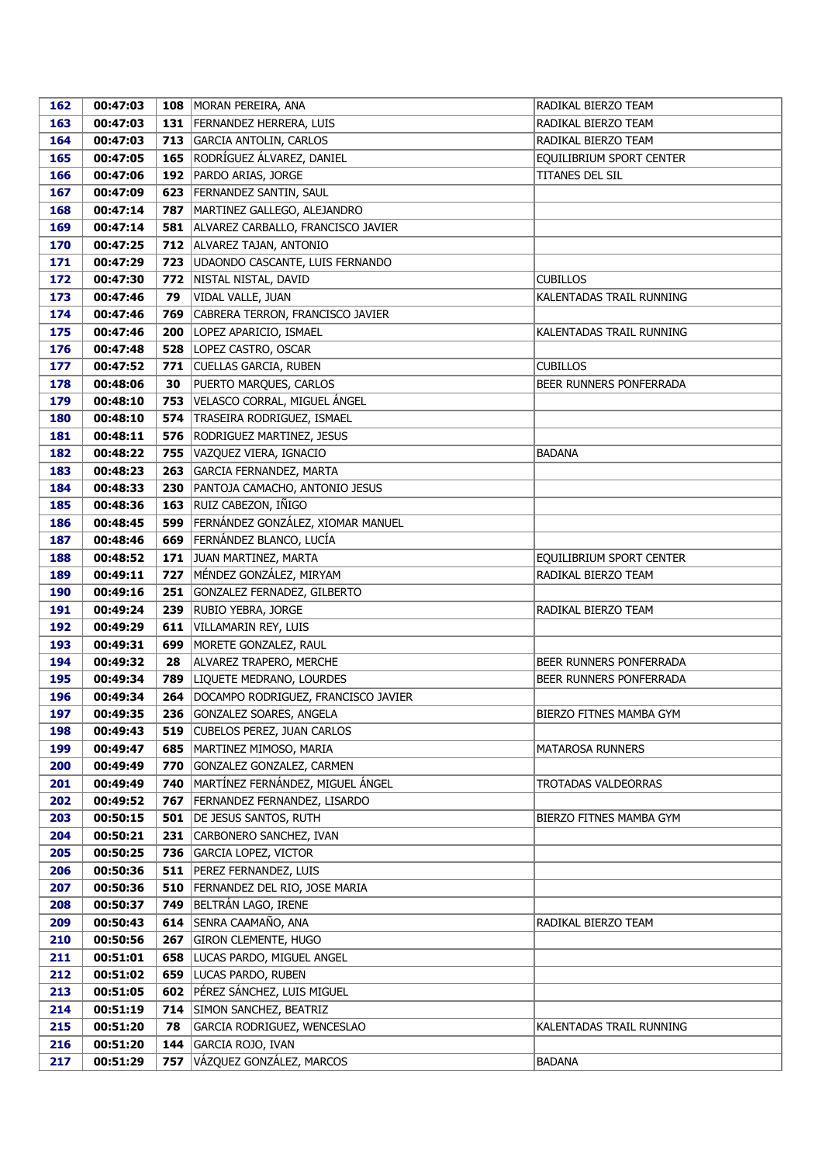| 162        | 00:47:03             |     | 108   MORAN PEREIRA, ANA                                         | RADIKAL BIERZO TEAM      |
|------------|----------------------|-----|------------------------------------------------------------------|--------------------------|
| 163        | 00:47:03             |     | 131 FERNANDEZ HERRERA, LUIS                                      | RADIKAL BIERZO TEAM      |
| 164        | 00:47:03             |     | 713 GARCIA ANTOLIN, CARLOS                                       | RADIKAL BIERZO TEAM      |
| 165        | 00:47:05             |     | 165 RODRÍGUEZ ÁLVAREZ, DANIEL                                    | EQUILIBRIUM SPORT CENTER |
| 166        | 00:47:06             |     | 192   PARDO ARIAS, JORGE                                         | TITANES DEL SIL          |
| 167        | 00:47:09             | 623 | FERNANDEZ SANTIN, SAUL                                           |                          |
| 168        | 00:47:14             | 787 | MARTINEZ GALLEGO, ALEJANDRO                                      |                          |
| 169        | 00:47:14             |     | 581   ALVAREZ CARBALLO, FRANCISCO JAVIER                         |                          |
| 170        | 00:47:25             |     | 712 ALVAREZ TAJAN, ANTONIO                                       |                          |
| 171        | 00:47:29             | 723 | UDAONDO CASCANTE, LUIS FERNANDO                                  |                          |
| 172        | 00:47:30             |     | 772   NISTAL NISTAL, DAVID                                       | <b>CUBILLOS</b>          |
| 173        | 00:47:46             | 79  | VIDAL VALLE, JUAN                                                | KALENTADAS TRAIL RUNNING |
| 174        | 00:47:46             | 769 | CABRERA TERRON, FRANCISCO JAVIER                                 |                          |
| 175        | 00:47:46             |     | 200 LOPEZ APARICIO, ISMAEL                                       | KALENTADAS TRAIL RUNNING |
| 176        | 00:47:48             |     | 528   LOPEZ CASTRO, OSCAR                                        |                          |
| 177        | 00:47:52             | 771 | CUELLAS GARCIA, RUBEN                                            | <b>CUBILLOS</b>          |
| 178        | 00:48:06             | 30  | PUERTO MARQUES, CARLOS                                           | BEER RUNNERS PONFERRADA  |
| 179        | 00:48:10             | 753 | VELASCO CORRAL, MIGUEL ÁNGEL                                     |                          |
| 180        | 00:48:10             | 574 | TRASEIRA RODRIGUEZ, ISMAEL                                       |                          |
| 181        | 00:48:11             | 576 | <b>RODRIGUEZ MARTINEZ, JESUS</b>                                 |                          |
| 182        | 00:48:22             | 755 | VAZQUEZ VIERA, IGNACIO                                           | <b>BADANA</b>            |
| 183        | 00:48:23             | 263 | GARCIA FERNANDEZ, MARTA                                          |                          |
| 184        | 00:48:33             | 230 | PANTOJA CAMACHO, ANTONIO JESUS                                   |                          |
| 185        | 00:48:36             |     | 163 RUIZ CABEZON, IÑIGO                                          |                          |
| 186        | 00:48:45             | 599 | FERNÁNDEZ GONZÁLEZ, XIOMAR MANUEL                                |                          |
| 187        | 00:48:46             | 669 | FERNÁNDEZ BLANCO, LUCÍA                                          |                          |
| 188        | 00:48:52             |     | 171 JUAN MARTINEZ, MARTA                                         | EQUILIBRIUM SPORT CENTER |
| 189        | 00:49:11             | 727 | MÉNDEZ GONZÁLEZ, MIRYAM                                          | RADIKAL BIERZO TEAM      |
| 190        | 00:49:16             | 251 | GONZALEZ FERNADEZ, GILBERTO                                      |                          |
| 191        | 00:49:24             | 239 | <b>RUBIO YEBRA, JORGE</b>                                        | RADIKAL BIERZO TEAM      |
| 192        | 00:49:29             | 611 | VILLAMARIN REY, LUIS                                             |                          |
| 193        | 00:49:31             | 699 | MORETE GONZALEZ, RAUL                                            |                          |
| 194        | 00:49:32             | 28  | ALVAREZ TRAPERO, MERCHE                                          | BEER RUNNERS PONFERRADA  |
| 195        | 00:49:34             |     | 789 LIQUETE MEDRANO, LOURDES                                     | BEER RUNNERS PONFERRADA  |
| 196        | 00:49:34             |     | 264   DOCAMPO RODRIGUEZ, FRANCISCO JAVIER                        |                          |
| 197<br>198 | 00:49:35<br>00:49:43 | 519 | 236 GONZALEZ SOARES, ANGELA<br><b>CUBELOS PEREZ, JUAN CARLOS</b> | BIERZO FITNES MAMBA GYM  |
| 199        | 00:49:47             | 685 | MARTINEZ MIMOSO, MARIA                                           | MATAROSA RUNNERS         |
| 200        | 00:49:49             | 770 | GONZALEZ GONZALEZ, CARMEN                                        |                          |
| 201        | 00:49:49             | 740 | MARTÍNEZ FERNÁNDEZ, MIGUEL ÁNGEL                                 | TROTADAS VALDEORRAS      |
| 202        | 00:49:52             | 767 | FERNANDEZ FERNANDEZ, LISARDO                                     |                          |
| 203        | 00:50:15             | 501 | DE JESUS SANTOS, RUTH                                            | BIERZO FITNES MAMBA GYM  |
| 204        | 00:50:21             | 231 | CARBONERO SANCHEZ, IVAN                                          |                          |
| 205        | 00:50:25             | 736 | <b>GARCIA LOPEZ, VICTOR</b>                                      |                          |
| 206        | 00:50:36             |     | 511   PEREZ FERNANDEZ, LUIS                                      |                          |
| 207        | 00:50:36             |     | 510 FERNANDEZ DEL RIO, JOSE MARIA                                |                          |
| 208        | 00:50:37             | 749 | BELTRÁN LAGO, IRENE                                              |                          |
| 209        | 00:50:43             | 614 | SENRA CAAMAÑO, ANA                                               | RADIKAL BIERZO TEAM      |
| 210        | 00:50:56             | 267 | GIRON CLEMENTE, HUGO                                             |                          |
| 211        | 00:51:01             | 658 | LUCAS PARDO, MIGUEL ANGEL                                        |                          |
| 212        | 00:51:02             | 659 | LUCAS PARDO, RUBEN                                               |                          |
| 213        | 00:51:05             | 602 | PÉREZ SÁNCHEZ, LUIS MIGUEL                                       |                          |
| 214        | 00:51:19             | 714 | SIMON SANCHEZ, BEATRIZ                                           |                          |
| 215        | 00:51:20             | 78  | GARCIA RODRIGUEZ, WENCESLAO                                      | KALENTADAS TRAIL RUNNING |
| 216        | 00:51:20             | 144 | GARCIA ROJO, IVAN                                                |                          |
| 217        | 00:51:29             | 757 | VÁZQUEZ GONZÁLEZ, MARCOS                                         | <b>BADANA</b>            |
|            |                      |     |                                                                  |                          |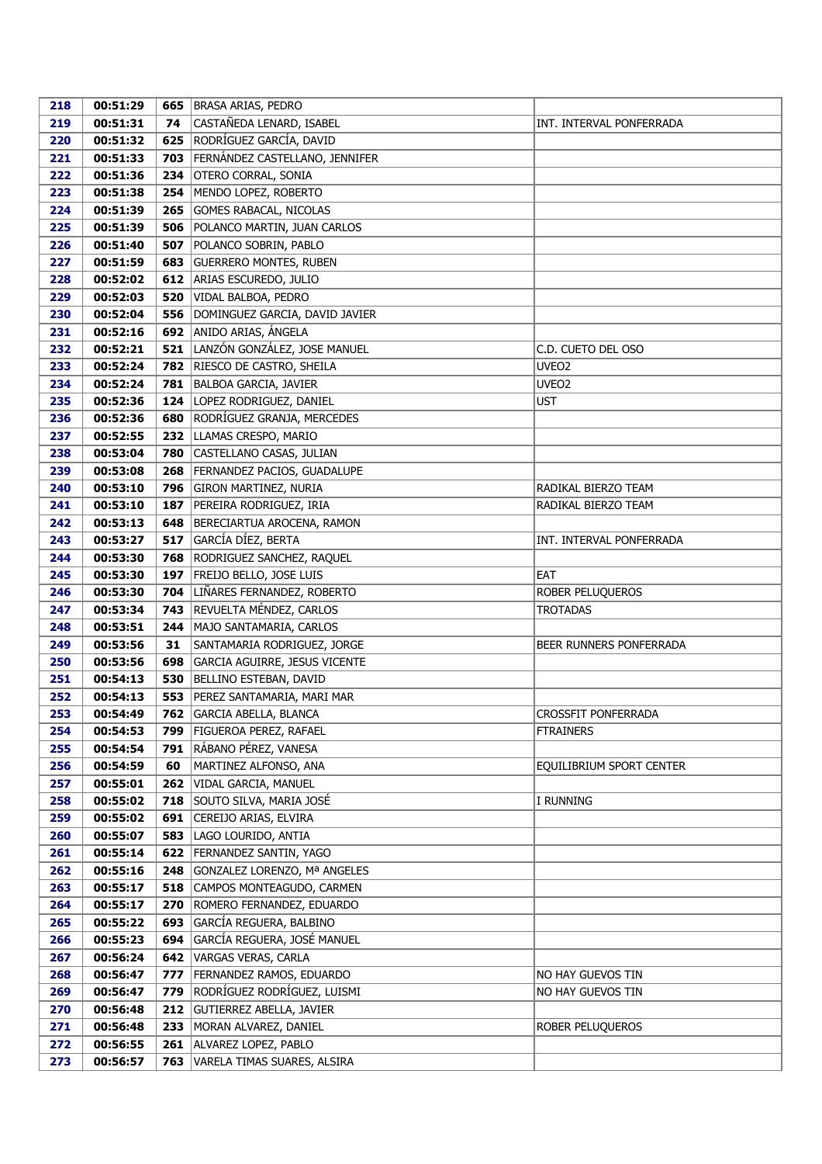| 218 | 00:51:29 |     | 665   BRASA ARIAS, PEDRO           |                          |
|-----|----------|-----|------------------------------------|--------------------------|
| 219 | 00:51:31 | 74  | CASTAÑEDA LENARD, ISABEL           | INT. INTERVAL PONFERRADA |
| 220 | 00:51:32 | 625 | RODRÍGUEZ GARCÍA, DAVID            |                          |
| 221 | 00:51:33 | 703 | FERNÁNDEZ CASTELLANO, JENNIFER     |                          |
| 222 | 00:51:36 | 234 | OTERO CORRAL, SONIA                |                          |
| 223 | 00:51:38 | 254 | MENDO LOPEZ, ROBERTO               |                          |
| 224 | 00:51:39 | 265 | GOMES RABACAL, NICOLAS             |                          |
| 225 | 00:51:39 | 506 | POLANCO MARTIN, JUAN CARLOS        |                          |
| 226 | 00:51:40 | 507 | POLANCO SOBRIN, PABLO              |                          |
| 227 | 00:51:59 |     | 683 GUERRERO MONTES, RUBEN         |                          |
| 228 | 00:52:02 |     | 612 ARIAS ESCUREDO, JULIO          |                          |
| 229 | 00:52:03 |     | 520 VIDAL BALBOA, PEDRO            |                          |
| 230 | 00:52:04 |     | 556 DOMINGUEZ GARCIA, DAVID JAVIER |                          |
| 231 | 00:52:16 |     | 692 ANIDO ARIAS, ÁNGELA            |                          |
| 232 | 00:52:21 |     | 521 LANZÓN GONZÁLEZ, JOSE MANUEL   | C.D. CUETO DEL OSO       |
| 233 | 00:52:24 |     | 782 RIESCO DE CASTRO, SHEILA       | UVEO <sub>2</sub>        |
| 234 | 00:52:24 | 781 | <b>BALBOA GARCIA, JAVIER</b>       | UVEO <sub>2</sub>        |
| 235 | 00:52:36 | 124 | LOPEZ RODRIGUEZ, DANIEL            | <b>UST</b>               |
| 236 | 00:52:36 | 680 | RODRÍGUEZ GRANJA, MERCEDES         |                          |
| 237 | 00:52:55 |     | 232 LLAMAS CRESPO, MARIO           |                          |
| 238 | 00:53:04 |     | 780 CASTELLANO CASAS, JULIAN       |                          |
| 239 | 00:53:08 |     | 268   FERNANDEZ PACIOS, GUADALUPE  |                          |
| 240 | 00:53:10 | 796 | <b>GIRON MARTINEZ, NURIA</b>       | RADIKAL BIERZO TEAM      |
| 241 | 00:53:10 | 187 | PEREIRA RODRIGUEZ, IRIA            | RADIKAL BIERZO TEAM      |
| 242 | 00:53:13 | 648 | BERECIARTUA AROCENA, RAMON         |                          |
| 243 | 00:53:27 | 517 | GARCÍA DÍEZ, BERTA                 | INT. INTERVAL PONFERRADA |
| 244 | 00:53:30 |     | 768   RODRIGUEZ SANCHEZ, RAQUEL    |                          |
| 245 | 00:53:30 | 197 | FREIJO BELLO, JOSE LUIS            | <b>EAT</b>               |
| 246 | 00:53:30 | 704 | LIÑARES FERNANDEZ, ROBERTO         | ROBER PELUQUEROS         |
| 247 | 00:53:34 | 743 | REVUELTA MÉNDEZ, CARLOS            | <b>TROTADAS</b>          |
| 248 | 00:53:51 |     | 244   MAJO SANTAMARIA, CARLOS      |                          |
| 249 | 00:53:56 | 31  | SANTAMARIA RODRIGUEZ, JORGE        | BEER RUNNERS PONFERRADA  |
| 250 | 00:53:56 | 698 | GARCIA AGUIRRE, JESUS VICENTE      |                          |
| 251 | 00:54:13 | 530 | BELLINO ESTEBAN, DAVID             |                          |
| 252 | 00:54:13 |     | 553   PEREZ SANTAMARIA, MARI MAR   |                          |
| 253 | 00:54:49 |     | 762 GARCIA ABELLA, BLANCA          | CROSSFIT PONFERRADA      |
| 254 | 00:54:53 | 799 | FIGUEROA PEREZ, RAFAEL             | <b>FTRAINERS</b>         |
| 255 | 00:54:54 | 791 | RÁBANO PÉREZ, VANESA               |                          |
| 256 | 00:54:59 | 60  | MARTINEZ ALFONSO, ANA              | EQUILIBRIUM SPORT CENTER |
| 257 | 00:55:01 | 262 | VIDAL GARCIA, MANUEL               |                          |
| 258 | 00:55:02 |     | 718 SOUTO SILVA, MARIA JOSÉ        | I RUNNING                |
| 259 | 00:55:02 |     | 691 CEREIJO ARIAS, ELVIRA          |                          |
| 260 | 00:55:07 |     | 583   LAGO LOURIDO, ANTIA          |                          |
| 261 | 00:55:14 |     | 622 FERNANDEZ SANTIN, YAGO         |                          |
| 262 | 00:55:16 | 248 | GONZALEZ LORENZO, Mª ANGELES       |                          |
| 263 | 00:55:17 | 518 | CAMPOS MONTEAGUDO, CARMEN          |                          |
| 264 | 00:55:17 | 270 | ROMERO FERNANDEZ, EDUARDO          |                          |
| 265 | 00:55:22 | 693 | GARCÍA REGUERA, BALBINO            |                          |
| 266 | 00:55:23 | 694 | GARCÍA REGUERA, JOSÉ MANUEL        |                          |
| 267 | 00:56:24 | 642 | VARGAS VERAS, CARLA                |                          |
| 268 | 00:56:47 | 777 | FERNANDEZ RAMOS, EDUARDO           | NO HAY GUEVOS TIN        |
| 269 | 00:56:47 | 779 | RODRÍGUEZ RODRÍGUEZ, LUISMI        | NO HAY GUEVOS TIN        |
| 270 | 00:56:48 |     | 212 GUTIERREZ ABELLA, JAVIER       |                          |
| 271 | 00:56:48 | 233 | MORAN ALVAREZ, DANIEL              | ROBER PELUQUEROS         |
| 272 | 00:56:55 |     | 261 ALVAREZ LOPEZ, PABLO           |                          |
| 273 | 00:56:57 | 763 | VARELA TIMAS SUARES, ALSIRA        |                          |